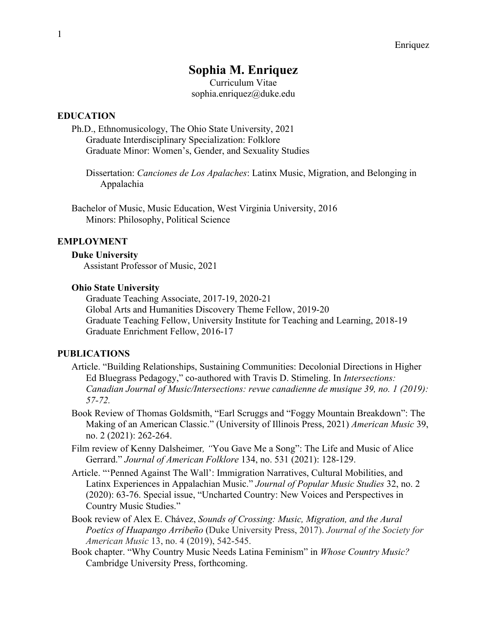# **Sophia M. Enriquez**

Curriculum Vitae sophia.enriquez@duke.edu

### **EDUCATION**

Ph.D., Ethnomusicology, The Ohio State University, 2021 Graduate Interdisciplinary Specialization: Folklore Graduate Minor: Women's, Gender, and Sexuality Studies

Dissertation: *Canciones de Los Apalaches*: Latinx Music, Migration, and Belonging in Appalachia

Bachelor of Music, Music Education, West Virginia University, 2016 Minors: Philosophy, Political Science

#### **EMPLOYMENT**

#### **Duke University**

Assistant Professor of Music, 2021

#### **Ohio State University**

Graduate Teaching Associate, 2017-19, 2020-21 Global Arts and Humanities Discovery Theme Fellow, 2019-20 Graduate Teaching Fellow, University Institute for Teaching and Learning, 2018-19 Graduate Enrichment Fellow, 2016-17

### **PUBLICATIONS**

- Article. "Building Relationships, Sustaining Communities: Decolonial Directions in Higher Ed Bluegrass Pedagogy," co-authored with Travis D. Stimeling. In *Intersections: Canadian Journal of Music/Intersections: revue canadienne de musique 39, no. 1 (2019): 57-72.*
- Book Review of Thomas Goldsmith, "Earl Scruggs and "Foggy Mountain Breakdown": The Making of an American Classic." (University of Illinois Press, 2021) *American Music* 39, no. 2 (2021): 262-264.
- Film review of Kenny Dalsheimer*, "*You Gave Me a Song": The Life and Music of Alice Gerrard." *Journal of American Folklore* 134, no. 531 (2021): 128-129.
- Article. "'Penned Against The Wall': Immigration Narratives, Cultural Mobilities, and Latinx Experiences in Appalachian Music." *Journal of Popular Music Studies* 32, no. 2 (2020): 63-76. Special issue, "Uncharted Country: New Voices and Perspectives in Country Music Studies."
- Book review of Alex E. Chávez, *Sounds of Crossing: Music, Migration, and the Aural Poetics of Huapango Arribeño* (Duke University Press, 2017). *Journal of the Society for American Music* 13, no. 4 (2019), 542-545.
- Book chapter. "Why Country Music Needs Latina Feminism" in *Whose Country Music?* Cambridge University Press, forthcoming.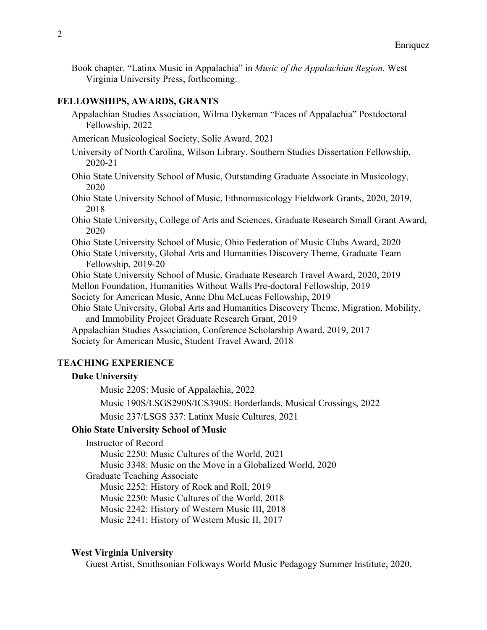Book chapter. "Latinx Music in Appalachia" in *Music of the Appalachian Region*. West Virginia University Press, forthcoming.

### **FELLOWSHIPS, AWARDS, GRANTS**

Appalachian Studies Association, Wilma Dykeman "Faces of Appalachia" Postdoctoral Fellowship, 2022

American Musicological Society, Solie Award, 2021

University of North Carolina, Wilson Library. Southern Studies Dissertation Fellowship, 2020-21

- Ohio State University School of Music, Outstanding Graduate Associate in Musicology, 2020
- Ohio State University School of Music, Ethnomusicology Fieldwork Grants, 2020, 2019, 2018
- Ohio State University, College of Arts and Sciences, Graduate Research Small Grant Award, 2020

Ohio State University School of Music, Ohio Federation of Music Clubs Award, 2020

Ohio State University, Global Arts and Humanities Discovery Theme, Graduate Team Fellowship, 2019-20

Ohio State University School of Music, Graduate Research Travel Award, 2020, 2019

Mellon Foundation, Humanities Without Walls Pre-doctoral Fellowship, 2019

Society for American Music, Anne Dhu McLucas Fellowship, 2019

Ohio State University, Global Arts and Humanities Discovery Theme, Migration, Mobility, and Immobility Project Graduate Research Grant, 2019

Appalachian Studies Association, Conference Scholarship Award, 2019, 2017

Society for American Music, Student Travel Award, 2018

# **TEACHING EXPERIENCE**

### **Duke University**

Music 220S: Music of Appalachia, 2022

Music 190S/LSGS290S/ICS390S: Borderlands, Musical Crossings, 2022

Music 237/LSGS 337: Latinx Music Cultures, 2021

# **Ohio State University School of Music**

Instructor of Record

Music 2250: Music Cultures of the World, 2021 Music 3348: Music on the Move in a Globalized World, 2020 Graduate Teaching Associate Music 2252: History of Rock and Roll, 2019 Music 2250: Music Cultures of the World, 2018 Music 2242: History of Western Music III, 2018 Music 2241: History of Western Music II, 2017

#### **West Virginia University**

Guest Artist, Smithsonian Folkways World Music Pedagogy Summer Institute, 2020.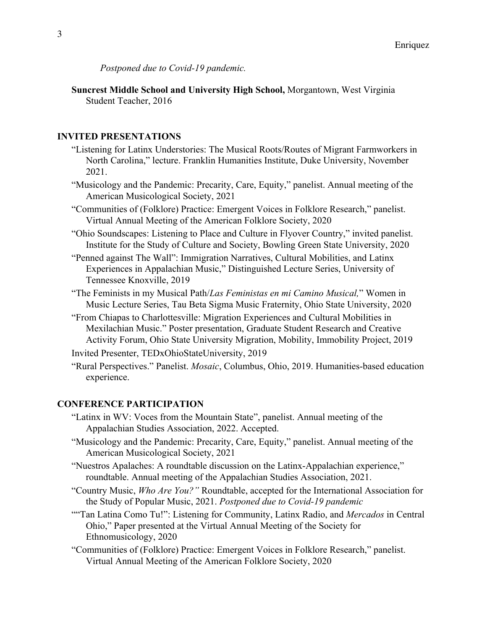*Postponed due to Covid-19 pandemic.*

**Suncrest Middle School and University High School,** Morgantown, West Virginia Student Teacher, 2016

# **INVITED PRESENTATIONS**

- "Listening for Latinx Understories: The Musical Roots/Routes of Migrant Farmworkers in North Carolina," lecture. Franklin Humanities Institute, Duke University, November 2021.
- "Musicology and the Pandemic: Precarity, Care, Equity," panelist. Annual meeting of the American Musicological Society, 2021
- "Communities of (Folklore) Practice: Emergent Voices in Folklore Research," panelist. Virtual Annual Meeting of the American Folklore Society, 2020
- "Ohio Soundscapes: Listening to Place and Culture in Flyover Country," invited panelist. Institute for the Study of Culture and Society, Bowling Green State University, 2020
- "Penned against The Wall": Immigration Narratives, Cultural Mobilities, and Latinx Experiences in Appalachian Music," Distinguished Lecture Series, University of Tennessee Knoxville, 2019
- "The Feminists in my Musical Path/*Las Feministas en mi Camino Musical,*" Women in Music Lecture Series, Tau Beta Sigma Music Fraternity, Ohio State University, 2020
- "From Chiapas to Charlottesville: Migration Experiences and Cultural Mobilities in Mexilachian Music." Poster presentation, Graduate Student Research and Creative Activity Forum, Ohio State University Migration, Mobility, Immobility Project, 2019
- Invited Presenter, TEDxOhioStateUniversity, 2019
- "Rural Perspectives." Panelist. *Mosaic*, Columbus, Ohio, 2019. Humanities-based education experience.

### **CONFERENCE PARTICIPATION**

- "Latinx in WV: Voces from the Mountain State", panelist. Annual meeting of the Appalachian Studies Association, 2022. Accepted.
- "Musicology and the Pandemic: Precarity, Care, Equity," panelist. Annual meeting of the American Musicological Society, 2021
- "Nuestros Apalaches: A roundtable discussion on the Latinx-Appalachian experience," roundtable. Annual meeting of the Appalachian Studies Association, 2021.
- "Country Music, *Who Are You?"* Roundtable, accepted for the International Association for the Study of Popular Music, 2021. *Postponed due to Covid-19 pandemic*
- ""Tan Latina Como Tu!": Listening for Community, Latinx Radio, and *Mercados* in Central Ohio," Paper presented at the Virtual Annual Meeting of the Society for Ethnomusicology, 2020
- "Communities of (Folklore) Practice: Emergent Voices in Folklore Research," panelist. Virtual Annual Meeting of the American Folklore Society, 2020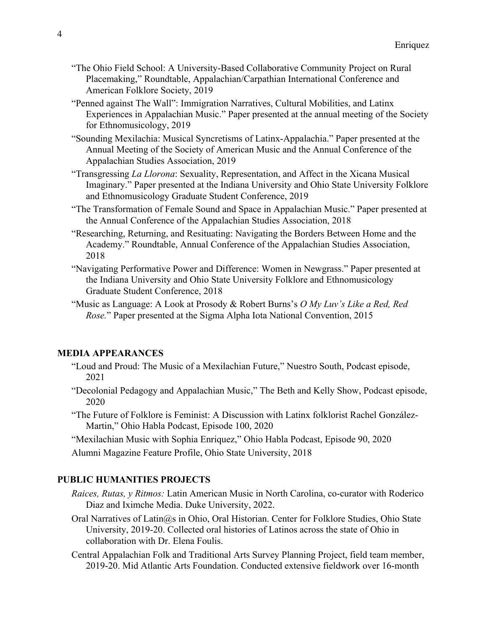- "The Ohio Field School: A University-Based Collaborative Community Project on Rural Placemaking," Roundtable, Appalachian/Carpathian International Conference and American Folklore Society, 2019
- "Penned against The Wall": Immigration Narratives, Cultural Mobilities, and Latinx Experiences in Appalachian Music." Paper presented at the annual meeting of the Society for Ethnomusicology, 2019
- "Sounding Mexilachia: Musical Syncretisms of Latinx-Appalachia." Paper presented at the Annual Meeting of the Society of American Music and the Annual Conference of the Appalachian Studies Association, 2019
- "Transgressing *La Llorona*: Sexuality, Representation, and Affect in the Xicana Musical Imaginary." Paper presented at the Indiana University and Ohio State University Folklore and Ethnomusicology Graduate Student Conference, 2019
- "The Transformation of Female Sound and Space in Appalachian Music." Paper presented at the Annual Conference of the Appalachian Studies Association, 2018
- "Researching, Returning, and Resituating: Navigating the Borders Between Home and the Academy." Roundtable, Annual Conference of the Appalachian Studies Association, 2018
- "Navigating Performative Power and Difference: Women in Newgrass." Paper presented at the Indiana University and Ohio State University Folklore and Ethnomusicology Graduate Student Conference, 2018
- "Music as Language: A Look at Prosody & Robert Burns's *O My Luv's Like a Red, Red Rose.*" Paper presented at the Sigma Alpha Iota National Convention, 2015

#### **MEDIA APPEARANCES**

- "Loud and Proud: The Music of a Mexilachian Future," Nuestro South, Podcast episode, 2021
- "Decolonial Pedagogy and Appalachian Music," The Beth and Kelly Show, Podcast episode, 2020
- "The Future of Folklore is Feminist: A Discussion with Latinx folklorist Rachel González-Martin," Ohio Habla Podcast, Episode 100, 2020
- "Mexilachian Music with Sophia Enriquez," Ohio Habla Podcast, Episode 90, 2020
- Alumni Magazine Feature Profile, Ohio State University, 2018

#### **PUBLIC HUMANITIES PROJECTS**

- *Raices, Rutas, y Ritmos:* Latin American Music in North Carolina, co-curator with Roderico Diaz and Iximche Media. Duke University, 2022.
- Oral Narratives of Latin@s in Ohio, Oral Historian. Center for Folklore Studies, Ohio State University, 2019-20. Collected oral histories of Latinos across the state of Ohio in collaboration with Dr. Elena Foulis.
- Central Appalachian Folk and Traditional Arts Survey Planning Project, field team member, 2019-20. Mid Atlantic Arts Foundation. Conducted extensive fieldwork over 16-month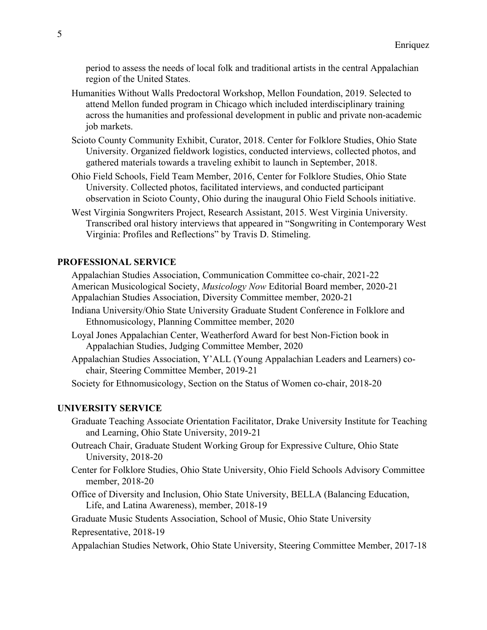period to assess the needs of local folk and traditional artists in the central Appalachian region of the United States.

- Humanities Without Walls Predoctoral Workshop, Mellon Foundation, 2019. Selected to attend Mellon funded program in Chicago which included interdisciplinary training across the humanities and professional development in public and private non-academic job markets.
- Scioto County Community Exhibit, Curator, 2018. Center for Folklore Studies, Ohio State University. Organized fieldwork logistics, conducted interviews, collected photos, and gathered materials towards a traveling exhibit to launch in September, 2018.
- Ohio Field Schools, Field Team Member, 2016, Center for Folklore Studies, Ohio State University. Collected photos, facilitated interviews, and conducted participant observation in Scioto County, Ohio during the inaugural Ohio Field Schools initiative.
- West Virginia Songwriters Project, Research Assistant, 2015. West Virginia University. Transcribed oral history interviews that appeared in "Songwriting in Contemporary West Virginia: Profiles and Reflections" by Travis D. Stimeling.

# **PROFESSIONAL SERVICE**

Appalachian Studies Association, Communication Committee co-chair, 2021-22 American Musicological Society, *Musicology Now* Editorial Board member, 2020-21 Appalachian Studies Association, Diversity Committee member, 2020-21

- Indiana University/Ohio State University Graduate Student Conference in Folklore and Ethnomusicology, Planning Committee member, 2020
- Loyal Jones Appalachian Center, Weatherford Award for best Non-Fiction book in Appalachian Studies, Judging Committee Member, 2020
- Appalachian Studies Association, Y'ALL (Young Appalachian Leaders and Learners) cochair, Steering Committee Member, 2019-21

Society for Ethnomusicology, Section on the Status of Women co-chair, 2018-20

### **UNIVERSITY SERVICE**

Graduate Teaching Associate Orientation Facilitator, Drake University Institute for Teaching and Learning, Ohio State University, 2019-21

- Outreach Chair, Graduate Student Working Group for Expressive Culture, Ohio State University, 2018-20
- Center for Folklore Studies, Ohio State University, Ohio Field Schools Advisory Committee member, 2018-20
- Office of Diversity and Inclusion, Ohio State University, BELLA (Balancing Education, Life, and Latina Awareness), member, 2018-19

Graduate Music Students Association, School of Music, Ohio State University

Representative, 2018-19

Appalachian Studies Network, Ohio State University, Steering Committee Member, 2017-18